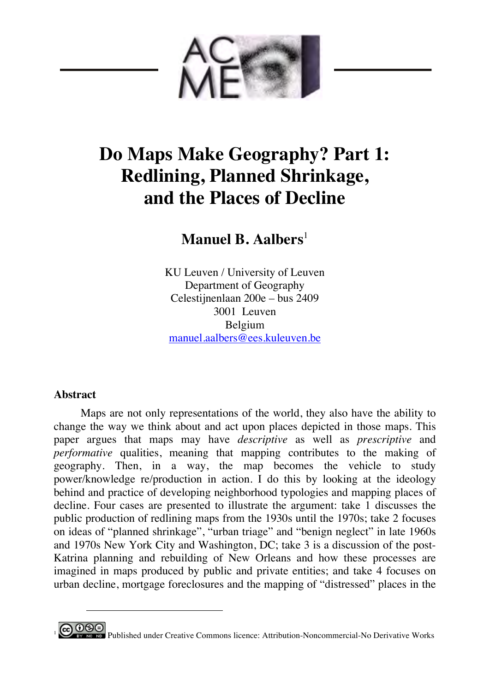

# **Do Maps Make Geography? Part 1: Redlining, Planned Shrinkage, and the Places of Decline**

**Manuel B. Aalbers**<sup>1</sup>

KU Leuven / University of Leuven Department of Geography Celestijnenlaan 200e – bus 2409 3001 Leuven Belgium manuel.aalbers@ees.kuleuven.be

## **Abstract**

-

Maps are not only representations of the world, they also have the ability to change the way we think about and act upon places depicted in those maps. This paper argues that maps may have *descriptive* as well as *prescriptive* and *performative* qualities, meaning that mapping contributes to the making of geography. Then, in a way, the map becomes the vehicle to study power/knowledge re/production in action. I do this by looking at the ideology behind and practice of developing neighborhood typologies and mapping places of decline. Four cases are presented to illustrate the argument: take 1 discusses the public production of redlining maps from the 1930s until the 1970s; take 2 focuses on ideas of "planned shrinkage", "urban triage" and "benign neglect" in late 1960s and 1970s New York City and Washington, DC; take 3 is a discussion of the post-Katrina planning and rebuilding of New Orleans and how these processes are imagined in maps produced by public and private entities; and take 4 focuses on urban decline, mortgage foreclosures and the mapping of "distressed" places in the

**<sup>0</sup> SO**<br><sup>187</sup> <sup>No</sup> No Derivative Works Commons licence: Attribution-Noncommercial-No Derivative Works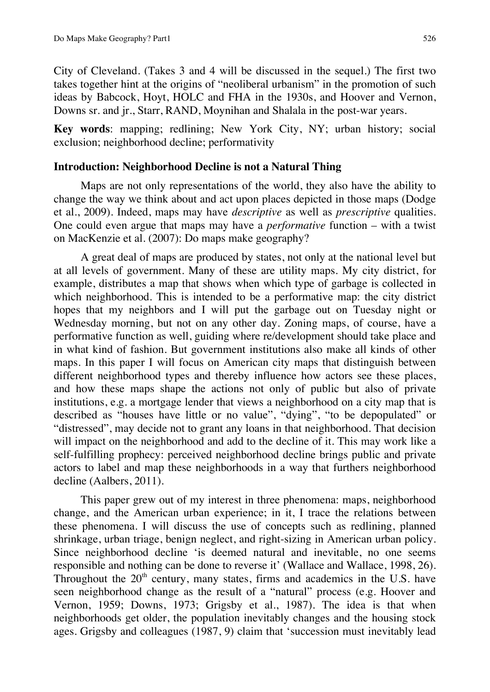City of Cleveland. (Takes 3 and 4 will be discussed in the sequel.) The first two takes together hint at the origins of "neoliberal urbanism" in the promotion of such ideas by Babcock, Hoyt, HOLC and FHA in the 1930s, and Hoover and Vernon, Downs sr. and jr., Starr, RAND, Moynihan and Shalala in the post-war years.

**Key words**: mapping; redlining; New York City, NY; urban history; social exclusion; neighborhood decline; performativity

## **Introduction: Neighborhood Decline is not a Natural Thing**

Maps are not only representations of the world, they also have the ability to change the way we think about and act upon places depicted in those maps (Dodge et al., 2009). Indeed, maps may have *descriptive* as well as *prescriptive* qualities. One could even argue that maps may have a *performative* function – with a twist on MacKenzie et al. (2007): Do maps make geography?

A great deal of maps are produced by states, not only at the national level but at all levels of government. Many of these are utility maps. My city district, for example, distributes a map that shows when which type of garbage is collected in which neighborhood. This is intended to be a performative map: the city district hopes that my neighbors and I will put the garbage out on Tuesday night or Wednesday morning, but not on any other day. Zoning maps, of course, have a performative function as well, guiding where re/development should take place and in what kind of fashion. But government institutions also make all kinds of other maps. In this paper I will focus on American city maps that distinguish between different neighborhood types and thereby influence how actors see these places, and how these maps shape the actions not only of public but also of private institutions, e.g. a mortgage lender that views a neighborhood on a city map that is described as "houses have little or no value", "dying", "to be depopulated" or "distressed", may decide not to grant any loans in that neighborhood. That decision will impact on the neighborhood and add to the decline of it. This may work like a self-fulfilling prophecy: perceived neighborhood decline brings public and private actors to label and map these neighborhoods in a way that furthers neighborhood decline (Aalbers, 2011).

This paper grew out of my interest in three phenomena: maps, neighborhood change, and the American urban experience; in it, I trace the relations between these phenomena. I will discuss the use of concepts such as redlining, planned shrinkage, urban triage, benign neglect, and right-sizing in American urban policy. Since neighborhood decline 'is deemed natural and inevitable, no one seems responsible and nothing can be done to reverse it' (Wallace and Wallace, 1998, 26). Throughout the  $20<sup>th</sup>$  century, many states, firms and academics in the U.S. have seen neighborhood change as the result of a "natural" process (e.g. Hoover and Vernon, 1959; Downs, 1973; Grigsby et al., 1987). The idea is that when neighborhoods get older, the population inevitably changes and the housing stock ages. Grigsby and colleagues (1987, 9) claim that 'succession must inevitably lead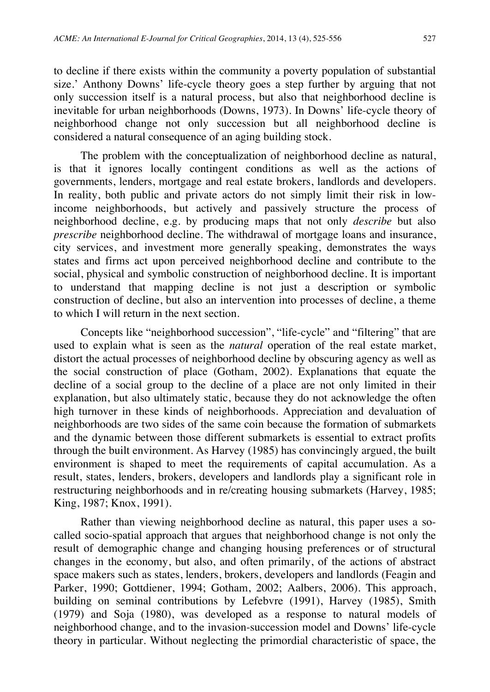to decline if there exists within the community a poverty population of substantial size.' Anthony Downs' life-cycle theory goes a step further by arguing that not only succession itself is a natural process, but also that neighborhood decline is inevitable for urban neighborhoods (Downs, 1973). In Downs' life-cycle theory of neighborhood change not only succession but all neighborhood decline is considered a natural consequence of an aging building stock.

The problem with the conceptualization of neighborhood decline as natural, is that it ignores locally contingent conditions as well as the actions of governments, lenders, mortgage and real estate brokers, landlords and developers. In reality, both public and private actors do not simply limit their risk in lowincome neighborhoods, but actively and passively structure the process of neighborhood decline, e.g. by producing maps that not only *describe* but also *prescribe* neighborhood decline. The withdrawal of mortgage loans and insurance, city services, and investment more generally speaking, demonstrates the ways states and firms act upon perceived neighborhood decline and contribute to the social, physical and symbolic construction of neighborhood decline. It is important to understand that mapping decline is not just a description or symbolic construction of decline, but also an intervention into processes of decline, a theme to which I will return in the next section.

Concepts like "neighborhood succession", "life-cycle" and "filtering" that are used to explain what is seen as the *natural* operation of the real estate market, distort the actual processes of neighborhood decline by obscuring agency as well as the social construction of place (Gotham, 2002). Explanations that equate the decline of a social group to the decline of a place are not only limited in their explanation, but also ultimately static, because they do not acknowledge the often high turnover in these kinds of neighborhoods. Appreciation and devaluation of neighborhoods are two sides of the same coin because the formation of submarkets and the dynamic between those different submarkets is essential to extract profits through the built environment. As Harvey (1985) has convincingly argued, the built environment is shaped to meet the requirements of capital accumulation. As a result, states, lenders, brokers, developers and landlords play a significant role in restructuring neighborhoods and in re/creating housing submarkets (Harvey, 1985; King, 1987; Knox, 1991).

Rather than viewing neighborhood decline as natural, this paper uses a socalled socio-spatial approach that argues that neighborhood change is not only the result of demographic change and changing housing preferences or of structural changes in the economy, but also, and often primarily, of the actions of abstract space makers such as states, lenders, brokers, developers and landlords (Feagin and Parker, 1990; Gottdiener, 1994; Gotham, 2002; Aalbers, 2006). This approach, building on seminal contributions by Lefebvre (1991), Harvey (1985), Smith (1979) and Soja (1980), was developed as a response to natural models of neighborhood change, and to the invasion-succession model and Downs' life-cycle theory in particular. Without neglecting the primordial characteristic of space, the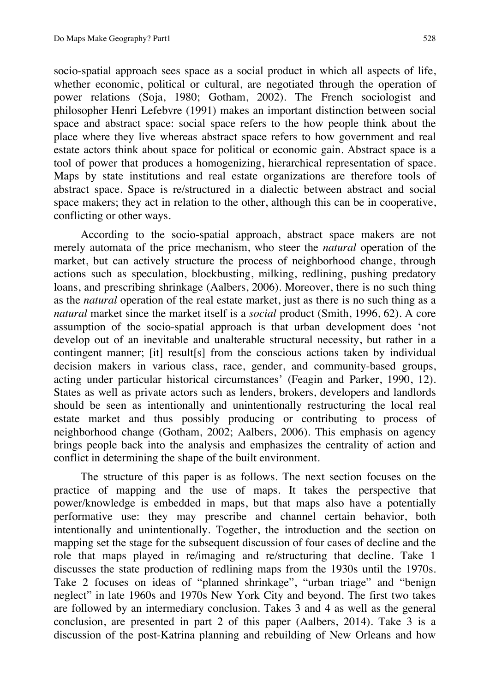socio-spatial approach sees space as a social product in which all aspects of life, whether economic, political or cultural, are negotiated through the operation of power relations (Soja, 1980; Gotham, 2002). The French sociologist and philosopher Henri Lefebvre (1991) makes an important distinction between social space and abstract space: social space refers to the how people think about the place where they live whereas abstract space refers to how government and real estate actors think about space for political or economic gain. Abstract space is a tool of power that produces a homogenizing, hierarchical representation of space. Maps by state institutions and real estate organizations are therefore tools of abstract space. Space is re/structured in a dialectic between abstract and social space makers; they act in relation to the other, although this can be in cooperative, conflicting or other ways.

According to the socio-spatial approach, abstract space makers are not merely automata of the price mechanism, who steer the *natural* operation of the market, but can actively structure the process of neighborhood change, through actions such as speculation, blockbusting, milking, redlining, pushing predatory loans, and prescribing shrinkage (Aalbers, 2006). Moreover, there is no such thing as the *natural* operation of the real estate market, just as there is no such thing as a *natural* market since the market itself is a *social* product (Smith, 1996, 62). A core assumption of the socio-spatial approach is that urban development does 'not develop out of an inevitable and unalterable structural necessity, but rather in a contingent manner; [it] result[s] from the conscious actions taken by individual decision makers in various class, race, gender, and community-based groups, acting under particular historical circumstances' (Feagin and Parker, 1990, 12). States as well as private actors such as lenders, brokers, developers and landlords should be seen as intentionally and unintentionally restructuring the local real estate market and thus possibly producing or contributing to process of neighborhood change (Gotham, 2002; Aalbers, 2006). This emphasis on agency brings people back into the analysis and emphasizes the centrality of action and conflict in determining the shape of the built environment.

The structure of this paper is as follows. The next section focuses on the practice of mapping and the use of maps. It takes the perspective that power/knowledge is embedded in maps, but that maps also have a potentially performative use: they may prescribe and channel certain behavior, both intentionally and unintentionally. Together, the introduction and the section on mapping set the stage for the subsequent discussion of four cases of decline and the role that maps played in re/imaging and re/structuring that decline. Take 1 discusses the state production of redlining maps from the 1930s until the 1970s. Take 2 focuses on ideas of "planned shrinkage", "urban triage" and "benign neglect" in late 1960s and 1970s New York City and beyond. The first two takes are followed by an intermediary conclusion. Takes 3 and 4 as well as the general conclusion, are presented in part 2 of this paper (Aalbers, 2014). Take 3 is a discussion of the post-Katrina planning and rebuilding of New Orleans and how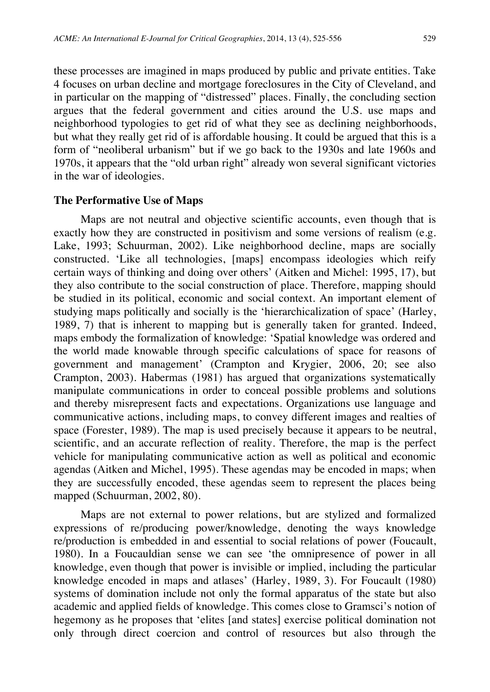these processes are imagined in maps produced by public and private entities. Take 4 focuses on urban decline and mortgage foreclosures in the City of Cleveland, and in particular on the mapping of "distressed" places. Finally, the concluding section argues that the federal government and cities around the U.S. use maps and neighborhood typologies to get rid of what they see as declining neighborhoods, but what they really get rid of is affordable housing. It could be argued that this is a form of "neoliberal urbanism" but if we go back to the 1930s and late 1960s and 1970s, it appears that the "old urban right" already won several significant victories in the war of ideologies.

### **The Performative Use of Maps**

Maps are not neutral and objective scientific accounts, even though that is exactly how they are constructed in positivism and some versions of realism (e.g. Lake, 1993; Schuurman, 2002). Like neighborhood decline, maps are socially constructed. 'Like all technologies, [maps] encompass ideologies which reify certain ways of thinking and doing over others' (Aitken and Michel: 1995, 17), but they also contribute to the social construction of place. Therefore, mapping should be studied in its political, economic and social context. An important element of studying maps politically and socially is the 'hierarchicalization of space' (Harley, 1989, 7) that is inherent to mapping but is generally taken for granted. Indeed, maps embody the formalization of knowledge: 'Spatial knowledge was ordered and the world made knowable through specific calculations of space for reasons of government and management' (Crampton and Krygier, 2006, 20; see also Crampton, 2003). Habermas (1981) has argued that organizations systematically manipulate communications in order to conceal possible problems and solutions and thereby misrepresent facts and expectations. Organizations use language and communicative actions, including maps, to convey different images and realties of space (Forester, 1989). The map is used precisely because it appears to be neutral, scientific, and an accurate reflection of reality. Therefore, the map is the perfect vehicle for manipulating communicative action as well as political and economic agendas (Aitken and Michel, 1995). These agendas may be encoded in maps; when they are successfully encoded, these agendas seem to represent the places being mapped (Schuurman, 2002, 80).

Maps are not external to power relations, but are stylized and formalized expressions of re/producing power/knowledge, denoting the ways knowledge re/production is embedded in and essential to social relations of power (Foucault, 1980). In a Foucauldian sense we can see 'the omnipresence of power in all knowledge, even though that power is invisible or implied, including the particular knowledge encoded in maps and atlases' (Harley, 1989, 3). For Foucault (1980) systems of domination include not only the formal apparatus of the state but also academic and applied fields of knowledge. This comes close to Gramsci's notion of hegemony as he proposes that 'elites [and states] exercise political domination not only through direct coercion and control of resources but also through the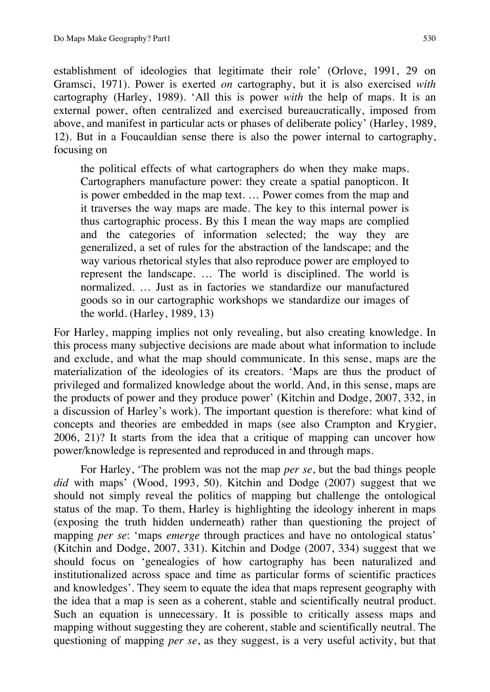establishment of ideologies that legitimate their role' (Orlove, 1991, 29 on Gramsci, 1971). Power is exerted *on* cartography, but it is also exercised *with*  cartography (Harley, 1989). 'All this is power *with* the help of maps. It is an external power, often centralized and exercised bureaucratically, imposed from above, and manifest in particular acts or phases of deliberate policy' (Harley, 1989, 12). But in a Foucauldian sense there is also the power internal to cartography, focusing on

the political effects of what cartographers do when they make maps. Cartographers manufacture power: they create a spatial panopticon. It is power embedded in the map text. … Power comes from the map and it traverses the way maps are made. The key to this internal power is thus cartographic process. By this I mean the way maps are complied and the categories of information selected; the way they are generalized, a set of rules for the abstraction of the landscape; and the way various rhetorical styles that also reproduce power are employed to represent the landscape. … The world is disciplined. The world is normalized. … Just as in factories we standardize our manufactured goods so in our cartographic workshops we standardize our images of the world. (Harley, 1989, 13)

For Harley, mapping implies not only revealing, but also creating knowledge. In this process many subjective decisions are made about what information to include and exclude, and what the map should communicate. In this sense, maps are the materialization of the ideologies of its creators. 'Maps are thus the product of privileged and formalized knowledge about the world. And, in this sense, maps are the products of power and they produce power' (Kitchin and Dodge, 2007, 332, in a discussion of Harley's work). The important question is therefore: what kind of concepts and theories are embedded in maps (see also Crampton and Krygier, 2006, 21)? It starts from the idea that a critique of mapping can uncover how power/knowledge is represented and reproduced in and through maps.

For Harley, 'The problem was not the map *per se*, but the bad things people *did* with maps' (Wood, 1993, 50). Kitchin and Dodge (2007) suggest that we should not simply reveal the politics of mapping but challenge the ontological status of the map. To them, Harley is highlighting the ideology inherent in maps (exposing the truth hidden underneath) rather than questioning the project of mapping *per se*: 'maps *emerge* through practices and have no ontological status' (Kitchin and Dodge, 2007, 331). Kitchin and Dodge (2007, 334) suggest that we should focus on 'genealogies of how cartography has been naturalized and institutionalized across space and time as particular forms of scientific practices and knowledges'. They seem to equate the idea that maps represent geography with the idea that a map is seen as a coherent, stable and scientifically neutral product. Such an equation is unnecessary. It is possible to critically assess maps and mapping without suggesting they are coherent, stable and scientifically neutral. The questioning of mapping *per se*, as they suggest, is a very useful activity, but that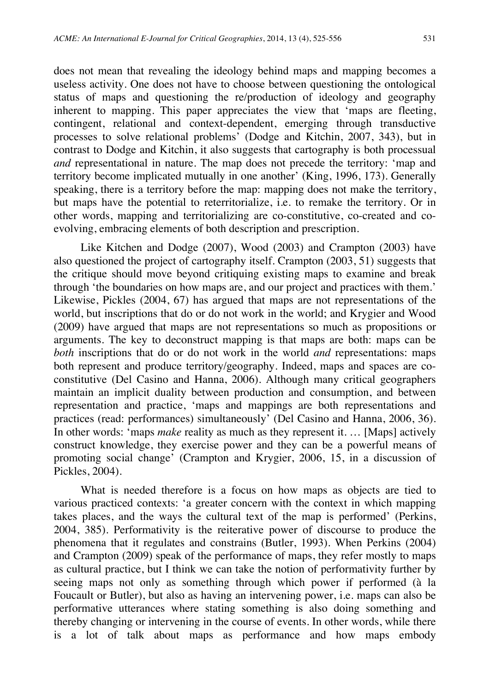does not mean that revealing the ideology behind maps and mapping becomes a useless activity. One does not have to choose between questioning the ontological status of maps and questioning the re/production of ideology and geography inherent to mapping. This paper appreciates the view that 'maps are fleeting, contingent, relational and context-dependent, emerging through transductive processes to solve relational problems' (Dodge and Kitchin, 2007, 343), but in contrast to Dodge and Kitchin, it also suggests that cartography is both processual *and* representational in nature. The map does not precede the territory: 'map and territory become implicated mutually in one another' (King, 1996, 173). Generally speaking, there is a territory before the map: mapping does not make the territory, but maps have the potential to reterritorialize, i.e. to remake the territory. Or in other words, mapping and territorializing are co-constitutive, co-created and coevolving, embracing elements of both description and prescription.

Like Kitchen and Dodge (2007), Wood (2003) and Crampton (2003) have also questioned the project of cartography itself. Crampton (2003, 51) suggests that the critique should move beyond critiquing existing maps to examine and break through 'the boundaries on how maps are, and our project and practices with them.' Likewise, Pickles (2004, 67) has argued that maps are not representations of the world, but inscriptions that do or do not work in the world; and Krygier and Wood (2009) have argued that maps are not representations so much as propositions or arguments. The key to deconstruct mapping is that maps are both: maps can be *both* inscriptions that do or do not work in the world *and* representations: maps both represent and produce territory/geography. Indeed, maps and spaces are coconstitutive (Del Casino and Hanna, 2006). Although many critical geographers maintain an implicit duality between production and consumption, and between representation and practice, 'maps and mappings are both representations and practices (read: performances) simultaneously' (Del Casino and Hanna, 2006, 36). In other words: 'maps *make* reality as much as they represent it. … [Maps] actively construct knowledge, they exercise power and they can be a powerful means of promoting social change' (Crampton and Krygier, 2006, 15, in a discussion of Pickles, 2004).

What is needed therefore is a focus on how maps as objects are tied to various practiced contexts: 'a greater concern with the context in which mapping takes places, and the ways the cultural text of the map is performed' (Perkins, 2004, 385). Performativity is the reiterative power of discourse to produce the phenomena that it regulates and constrains (Butler, 1993). When Perkins (2004) and Crampton (2009) speak of the performance of maps, they refer mostly to maps as cultural practice, but I think we can take the notion of performativity further by seeing maps not only as something through which power if performed (à la Foucault or Butler), but also as having an intervening power, i.e. maps can also be performative utterances where stating something is also doing something and thereby changing or intervening in the course of events. In other words, while there is a lot of talk about maps as performance and how maps embody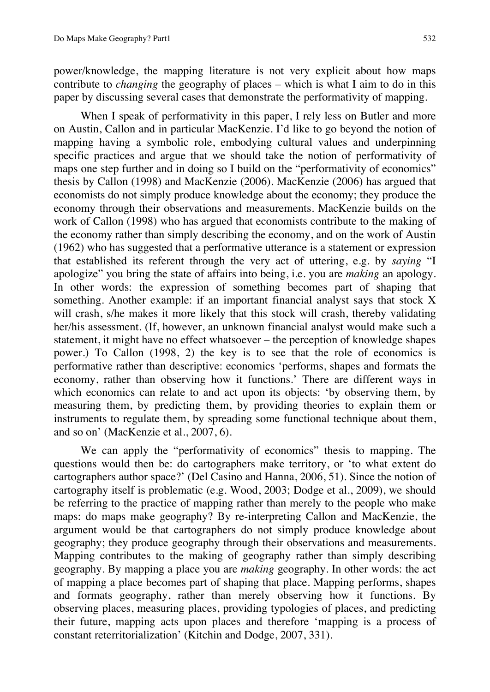power/knowledge, the mapping literature is not very explicit about how maps contribute to *changing* the geography of places – which is what I aim to do in this paper by discussing several cases that demonstrate the performativity of mapping.

When I speak of performativity in this paper, I rely less on Butler and more on Austin, Callon and in particular MacKenzie. I'd like to go beyond the notion of mapping having a symbolic role, embodying cultural values and underpinning specific practices and argue that we should take the notion of performativity of maps one step further and in doing so I build on the "performativity of economics" thesis by Callon (1998) and MacKenzie (2006). MacKenzie (2006) has argued that economists do not simply produce knowledge about the economy; they produce the economy through their observations and measurements. MacKenzie builds on the work of Callon (1998) who has argued that economists contribute to the making of the economy rather than simply describing the economy, and on the work of Austin (1962) who has suggested that a performative utterance is a statement or expression that established its referent through the very act of uttering, e.g. by *saying* "I apologize" you bring the state of affairs into being, i.e. you are *making* an apology. In other words: the expression of something becomes part of shaping that something. Another example: if an important financial analyst says that stock X will crash, s/he makes it more likely that this stock will crash, thereby validating her/his assessment. (If, however, an unknown financial analyst would make such a statement, it might have no effect whatsoever – the perception of knowledge shapes power.) To Callon (1998, 2) the key is to see that the role of economics is performative rather than descriptive: economics 'performs, shapes and formats the economy, rather than observing how it functions.' There are different ways in which economics can relate to and act upon its objects: 'by observing them, by measuring them, by predicting them, by providing theories to explain them or instruments to regulate them, by spreading some functional technique about them, and so on' (MacKenzie et al., 2007, 6).

We can apply the "performativity of economics" thesis to mapping. The questions would then be: do cartographers make territory, or 'to what extent do cartographers author space?' (Del Casino and Hanna, 2006, 51). Since the notion of cartography itself is problematic (e.g. Wood, 2003; Dodge et al., 2009), we should be referring to the practice of mapping rather than merely to the people who make maps: do maps make geography? By re-interpreting Callon and MacKenzie, the argument would be that cartographers do not simply produce knowledge about geography; they produce geography through their observations and measurements. Mapping contributes to the making of geography rather than simply describing geography. By mapping a place you are *making* geography. In other words: the act of mapping a place becomes part of shaping that place. Mapping performs, shapes and formats geography, rather than merely observing how it functions. By observing places, measuring places, providing typologies of places, and predicting their future, mapping acts upon places and therefore 'mapping is a process of constant reterritorialization' (Kitchin and Dodge, 2007, 331).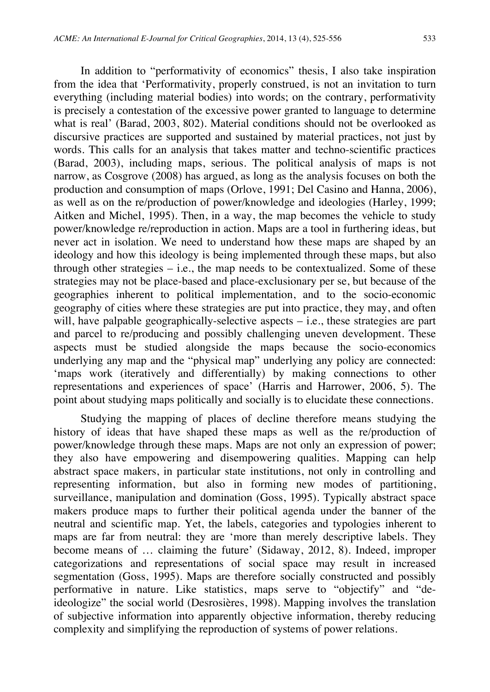In addition to "performativity of economics" thesis, I also take inspiration from the idea that 'Performativity, properly construed, is not an invitation to turn everything (including material bodies) into words; on the contrary, performativity is precisely a contestation of the excessive power granted to language to determine what is real' (Barad, 2003, 802). Material conditions should not be overlooked as

discursive practices are supported and sustained by material practices, not just by words. This calls for an analysis that takes matter and techno-scientific practices (Barad, 2003), including maps, serious. The political analysis of maps is not narrow, as Cosgrove (2008) has argued, as long as the analysis focuses on both the production and consumption of maps (Orlove, 1991; Del Casino and Hanna, 2006), as well as on the re/production of power/knowledge and ideologies (Harley, 1999; Aitken and Michel, 1995). Then, in a way, the map becomes the vehicle to study power/knowledge re/reproduction in action. Maps are a tool in furthering ideas, but never act in isolation. We need to understand how these maps are shaped by an ideology and how this ideology is being implemented through these maps, but also through other strategies  $-$  i.e., the map needs to be contextualized. Some of these strategies may not be place-based and place-exclusionary per se, but because of the geographies inherent to political implementation, and to the socio-economic geography of cities where these strategies are put into practice, they may, and often will, have palpable geographically-selective aspects – i.e., these strategies are part and parcel to re/producing and possibly challenging uneven development. These aspects must be studied alongside the maps because the socio-economics underlying any map and the "physical map" underlying any policy are connected: 'maps work (iteratively and differentially) by making connections to other representations and experiences of space' (Harris and Harrower, 2006, 5). The point about studying maps politically and socially is to elucidate these connections.

Studying the mapping of places of decline therefore means studying the history of ideas that have shaped these maps as well as the re/production of power/knowledge through these maps. Maps are not only an expression of power; they also have empowering and disempowering qualities. Mapping can help abstract space makers, in particular state institutions, not only in controlling and representing information, but also in forming new modes of partitioning, surveillance, manipulation and domination (Goss, 1995). Typically abstract space makers produce maps to further their political agenda under the banner of the neutral and scientific map. Yet, the labels, categories and typologies inherent to maps are far from neutral: they are 'more than merely descriptive labels. They become means of … claiming the future' (Sidaway, 2012, 8). Indeed, improper categorizations and representations of social space may result in increased segmentation (Goss, 1995). Maps are therefore socially constructed and possibly performative in nature. Like statistics, maps serve to "objectify" and "deideologize" the social world (Desrosières, 1998). Mapping involves the translation of subjective information into apparently objective information, thereby reducing complexity and simplifying the reproduction of systems of power relations.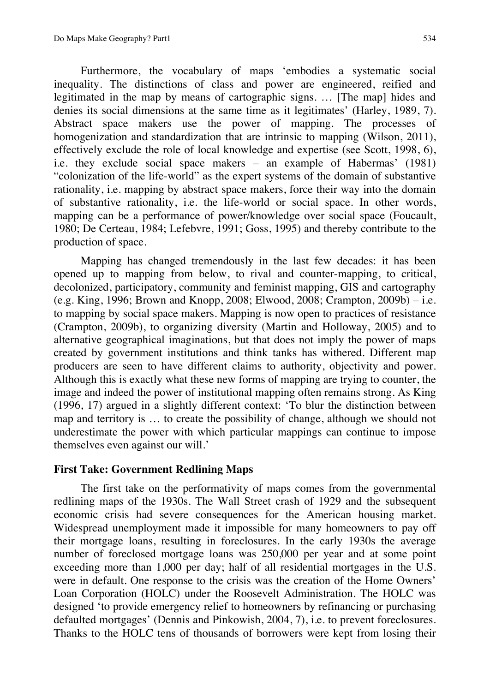Furthermore, the vocabulary of maps 'embodies a systematic social inequality. The distinctions of class and power are engineered, reified and legitimated in the map by means of cartographic signs. … [The map] hides and denies its social dimensions at the same time as it legitimates' (Harley, 1989, 7). Abstract space makers use the power of mapping. The processes of homogenization and standardization that are intrinsic to mapping (Wilson, 2011), effectively exclude the role of local knowledge and expertise (see Scott, 1998, 6), i.e. they exclude social space makers – an example of Habermas' (1981) "colonization of the life-world" as the expert systems of the domain of substantive rationality, i.e. mapping by abstract space makers, force their way into the domain of substantive rationality, i.e. the life-world or social space. In other words, mapping can be a performance of power/knowledge over social space (Foucault, 1980; De Certeau, 1984; Lefebvre, 1991; Goss, 1995) and thereby contribute to the production of space.

Mapping has changed tremendously in the last few decades: it has been opened up to mapping from below, to rival and counter-mapping, to critical, decolonized, participatory, community and feminist mapping, GIS and cartography (e.g. King, 1996; Brown and Knopp, 2008; Elwood, 2008; Crampton, 2009b) – i.e. to mapping by social space makers. Mapping is now open to practices of resistance (Crampton, 2009b), to organizing diversity (Martin and Holloway, 2005) and to alternative geographical imaginations, but that does not imply the power of maps created by government institutions and think tanks has withered. Different map producers are seen to have different claims to authority, objectivity and power. Although this is exactly what these new forms of mapping are trying to counter, the image and indeed the power of institutional mapping often remains strong. As King (1996, 17) argued in a slightly different context: 'To blur the distinction between map and territory is … to create the possibility of change, although we should not underestimate the power with which particular mappings can continue to impose themselves even against our will.'

## **First Take: Government Redlining Maps**

The first take on the performativity of maps comes from the governmental redlining maps of the 1930s. The Wall Street crash of 1929 and the subsequent economic crisis had severe consequences for the American housing market. Widespread unemployment made it impossible for many homeowners to pay off their mortgage loans, resulting in foreclosures. In the early 1930s the average number of foreclosed mortgage loans was 250,000 per year and at some point exceeding more than 1,000 per day; half of all residential mortgages in the U.S. were in default. One response to the crisis was the creation of the Home Owners' Loan Corporation (HOLC) under the Roosevelt Administration. The HOLC was designed 'to provide emergency relief to homeowners by refinancing or purchasing defaulted mortgages' (Dennis and Pinkowish, 2004, 7), i.e. to prevent foreclosures. Thanks to the HOLC tens of thousands of borrowers were kept from losing their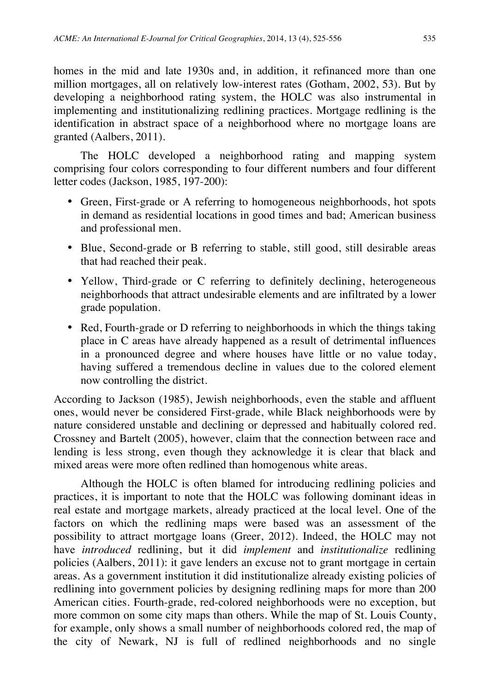homes in the mid and late 1930s and, in addition, it refinanced more than one million mortgages, all on relatively low-interest rates (Gotham, 2002, 53). But by developing a neighborhood rating system, the HOLC was also instrumental in implementing and institutionalizing redlining practices. Mortgage redlining is the identification in abstract space of a neighborhood where no mortgage loans are granted (Aalbers, 2011).

The HOLC developed a neighborhood rating and mapping system comprising four colors corresponding to four different numbers and four different letter codes (Jackson, 1985, 197-200):

- Green, First-grade or A referring to homogeneous neighborhoods, hot spots in demand as residential locations in good times and bad; American business and professional men.
- Blue, Second-grade or B referring to stable, still good, still desirable areas that had reached their peak.
- Yellow, Third-grade or C referring to definitely declining, heterogeneous neighborhoods that attract undesirable elements and are infiltrated by a lower grade population.
- Red, Fourth-grade or D referring to neighborhoods in which the things taking place in C areas have already happened as a result of detrimental influences in a pronounced degree and where houses have little or no value today, having suffered a tremendous decline in values due to the colored element now controlling the district.

According to Jackson (1985), Jewish neighborhoods, even the stable and affluent ones, would never be considered First-grade, while Black neighborhoods were by nature considered unstable and declining or depressed and habitually colored red. Crossney and Bartelt (2005), however, claim that the connection between race and lending is less strong, even though they acknowledge it is clear that black and mixed areas were more often redlined than homogenous white areas.

Although the HOLC is often blamed for introducing redlining policies and practices, it is important to note that the HOLC was following dominant ideas in real estate and mortgage markets, already practiced at the local level. One of the factors on which the redlining maps were based was an assessment of the possibility to attract mortgage loans (Greer, 2012). Indeed, the HOLC may not have *introduced* redlining, but it did *implement* and *institutionalize* redlining policies (Aalbers, 2011): it gave lenders an excuse not to grant mortgage in certain areas. As a government institution it did institutionalize already existing policies of redlining into government policies by designing redlining maps for more than 200 American cities. Fourth-grade, red-colored neighborhoods were no exception, but more common on some city maps than others. While the map of St. Louis County, for example, only shows a small number of neighborhoods colored red, the map of the city of Newark, NJ is full of redlined neighborhoods and no single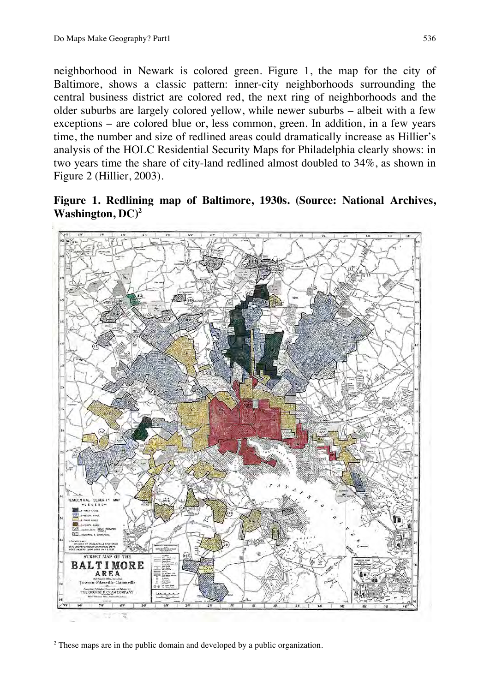neighborhood in Newark is colored green. Figure 1, the map for the city of Baltimore, shows a classic pattern: inner-city neighborhoods surrounding the central business district are colored red, the next ring of neighborhoods and the older suburbs are largely colored yellow, while newer suburbs – albeit with a few exceptions – are colored blue or, less common, green. In addition, in a few years time, the number and size of redlined areas could dramatically increase as Hillier's analysis of the HOLC Residential Security Maps for Philadelphia clearly shows: in two years time the share of city-land redlined almost doubled to 34%, as shown in Figure 2 (Hillier, 2003).

**Figure 1. Redlining map of Baltimore, 1930s. (Source: National Archives, Washington, DC)2**



 $2$ <sup>2</sup> These maps are in the public domain and developed by a public organization.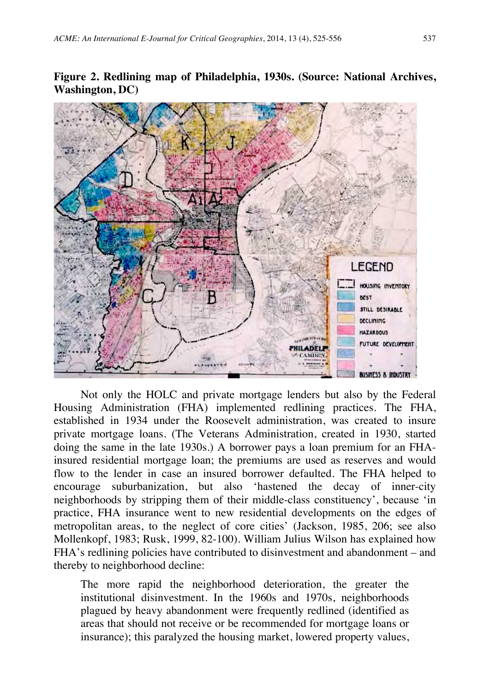

**Figure 2. Redlining map of Philadelphia, 1930s. (Source: National Archives, Washington, DC)**

Not only the HOLC and private mortgage lenders but also by the Federal Housing Administration (FHA) implemented redlining practices. The FHA, established in 1934 under the Roosevelt administration, was created to insure private mortgage loans. (The Veterans Administration, created in 1930, started doing the same in the late 1930s.) A borrower pays a loan premium for an FHAinsured residential mortgage loan; the premiums are used as reserves and would flow to the lender in case an insured borrower defaulted. The FHA helped to encourage suburbanization, but also 'hastened the decay of inner-city neighborhoods by stripping them of their middle-class constituency', because 'in practice, FHA insurance went to new residential developments on the edges of metropolitan areas, to the neglect of core cities' (Jackson, 1985, 206; see also Mollenkopf, 1983; Rusk, 1999, 82-100). William Julius Wilson has explained how FHA's redlining policies have contributed to disinvestment and abandonment – and thereby to neighborhood decline:

The more rapid the neighborhood deterioration, the greater the institutional disinvestment. In the 1960s and 1970s, neighborhoods plagued by heavy abandonment were frequently redlined (identified as areas that should not receive or be recommended for mortgage loans or insurance); this paralyzed the housing market, lowered property values,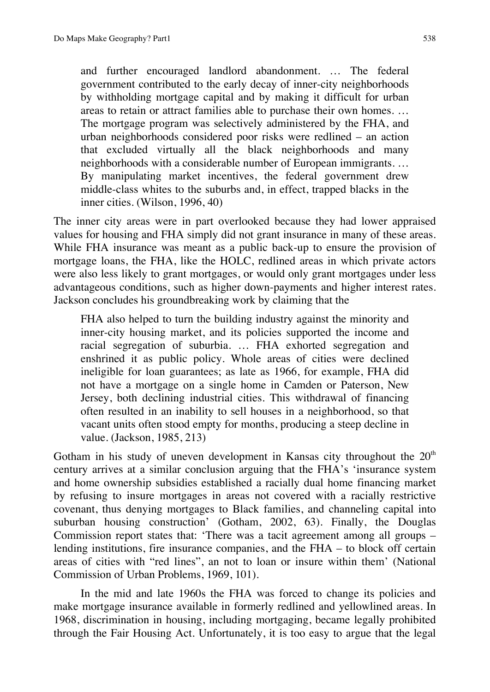and further encouraged landlord abandonment. … The federal government contributed to the early decay of inner-city neighborhoods by withholding mortgage capital and by making it difficult for urban areas to retain or attract families able to purchase their own homes. … The mortgage program was selectively administered by the FHA, and urban neighborhoods considered poor risks were redlined – an action that excluded virtually all the black neighborhoods and many neighborhoods with a considerable number of European immigrants. … By manipulating market incentives, the federal government drew middle-class whites to the suburbs and, in effect, trapped blacks in the inner cities. (Wilson, 1996, 40)

The inner city areas were in part overlooked because they had lower appraised values for housing and FHA simply did not grant insurance in many of these areas. While FHA insurance was meant as a public back-up to ensure the provision of mortgage loans, the FHA, like the HOLC, redlined areas in which private actors were also less likely to grant mortgages, or would only grant mortgages under less advantageous conditions, such as higher down-payments and higher interest rates. Jackson concludes his groundbreaking work by claiming that the

FHA also helped to turn the building industry against the minority and inner-city housing market, and its policies supported the income and racial segregation of suburbia. … FHA exhorted segregation and enshrined it as public policy. Whole areas of cities were declined ineligible for loan guarantees; as late as 1966, for example, FHA did not have a mortgage on a single home in Camden or Paterson, New Jersey, both declining industrial cities. This withdrawal of financing often resulted in an inability to sell houses in a neighborhood, so that vacant units often stood empty for months, producing a steep decline in value. (Jackson, 1985, 213)

Gotham in his study of uneven development in Kansas city throughout the  $20<sup>th</sup>$ century arrives at a similar conclusion arguing that the FHA's 'insurance system and home ownership subsidies established a racially dual home financing market by refusing to insure mortgages in areas not covered with a racially restrictive covenant, thus denying mortgages to Black families, and channeling capital into suburban housing construction' (Gotham, 2002, 63). Finally, the Douglas Commission report states that: 'There was a tacit agreement among all groups – lending institutions, fire insurance companies, and the FHA – to block off certain areas of cities with "red lines", an not to loan or insure within them' (National Commission of Urban Problems, 1969, 101).

In the mid and late 1960s the FHA was forced to change its policies and make mortgage insurance available in formerly redlined and yellowlined areas. In 1968, discrimination in housing, including mortgaging, became legally prohibited through the Fair Housing Act. Unfortunately, it is too easy to argue that the legal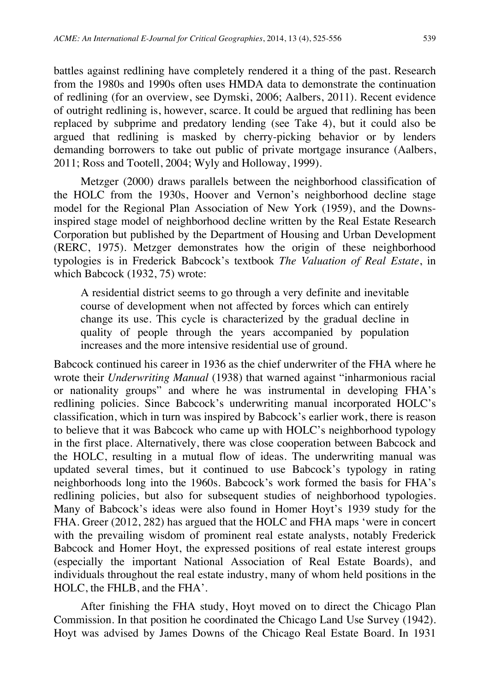battles against redlining have completely rendered it a thing of the past. Research from the 1980s and 1990s often uses HMDA data to demonstrate the continuation of redlining (for an overview, see Dymski, 2006; Aalbers, 2011). Recent evidence of outright redlining is, however, scarce. It could be argued that redlining has been replaced by subprime and predatory lending (see Take 4), but it could also be argued that redlining is masked by cherry-picking behavior or by lenders demanding borrowers to take out public of private mortgage insurance (Aalbers, 2011; Ross and Tootell, 2004; Wyly and Holloway, 1999).

Metzger (2000) draws parallels between the neighborhood classification of the HOLC from the 1930s, Hoover and Vernon's neighborhood decline stage model for the Regional Plan Association of New York (1959), and the Downsinspired stage model of neighborhood decline written by the Real Estate Research Corporation but published by the Department of Housing and Urban Development (RERC, 1975). Metzger demonstrates how the origin of these neighborhood typologies is in Frederick Babcock's textbook *The Valuation of Real Estate*, in which Babcock (1932, 75) wrote:

A residential district seems to go through a very definite and inevitable course of development when not affected by forces which can entirely change its use. This cycle is characterized by the gradual decline in quality of people through the years accompanied by population increases and the more intensive residential use of ground.

Babcock continued his career in 1936 as the chief underwriter of the FHA where he wrote their *Underwriting Manual* (1938) that warned against "inharmonious racial or nationality groups" and where he was instrumental in developing FHA's redlining policies. Since Babcock's underwriting manual incorporated HOLC's classification, which in turn was inspired by Babcock's earlier work, there is reason to believe that it was Babcock who came up with HOLC's neighborhood typology in the first place. Alternatively, there was close cooperation between Babcock and the HOLC, resulting in a mutual flow of ideas. The underwriting manual was updated several times, but it continued to use Babcock's typology in rating neighborhoods long into the 1960s. Babcock's work formed the basis for FHA's redlining policies, but also for subsequent studies of neighborhood typologies. Many of Babcock's ideas were also found in Homer Hoyt's 1939 study for the FHA. Greer (2012, 282) has argued that the HOLC and FHA maps 'were in concert with the prevailing wisdom of prominent real estate analysts, notably Frederick Babcock and Homer Hoyt, the expressed positions of real estate interest groups (especially the important National Association of Real Estate Boards), and individuals throughout the real estate industry, many of whom held positions in the HOLC, the FHLB, and the FHA'.

After finishing the FHA study, Hoyt moved on to direct the Chicago Plan Commission. In that position he coordinated the Chicago Land Use Survey (1942). Hoyt was advised by James Downs of the Chicago Real Estate Board. In 1931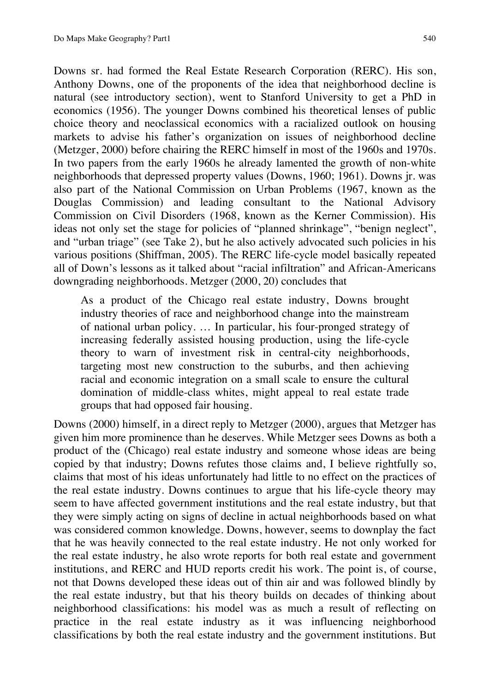Downs sr. had formed the Real Estate Research Corporation (RERC). His son, Anthony Downs, one of the proponents of the idea that neighborhood decline is natural (see introductory section), went to Stanford University to get a PhD in economics (1956). The younger Downs combined his theoretical lenses of public choice theory and neoclassical economics with a racialized outlook on housing markets to advise his father's organization on issues of neighborhood decline (Metzger, 2000) before chairing the RERC himself in most of the 1960s and 1970s. In two papers from the early 1960s he already lamented the growth of non-white neighborhoods that depressed property values (Downs, 1960; 1961). Downs jr. was also part of the National Commission on Urban Problems (1967, known as the Douglas Commission) and leading consultant to the National Advisory Commission on Civil Disorders (1968, known as the Kerner Commission). His ideas not only set the stage for policies of "planned shrinkage", "benign neglect", and "urban triage" (see Take 2), but he also actively advocated such policies in his various positions (Shiffman, 2005). The RERC life-cycle model basically repeated all of Down's lessons as it talked about "racial infiltration" and African-Americans downgrading neighborhoods. Metzger (2000, 20) concludes that

As a product of the Chicago real estate industry, Downs brought industry theories of race and neighborhood change into the mainstream of national urban policy. … In particular, his four-pronged strategy of increasing federally assisted housing production, using the life-cycle theory to warn of investment risk in central-city neighborhoods, targeting most new construction to the suburbs, and then achieving racial and economic integration on a small scale to ensure the cultural domination of middle-class whites, might appeal to real estate trade groups that had opposed fair housing.

Downs (2000) himself, in a direct reply to Metzger (2000), argues that Metzger has given him more prominence than he deserves. While Metzger sees Downs as both a product of the (Chicago) real estate industry and someone whose ideas are being copied by that industry; Downs refutes those claims and, I believe rightfully so, claims that most of his ideas unfortunately had little to no effect on the practices of the real estate industry. Downs continues to argue that his life-cycle theory may seem to have affected government institutions and the real estate industry, but that they were simply acting on signs of decline in actual neighborhoods based on what was considered common knowledge. Downs, however, seems to downplay the fact that he was heavily connected to the real estate industry. He not only worked for the real estate industry, he also wrote reports for both real estate and government institutions, and RERC and HUD reports credit his work. The point is, of course, not that Downs developed these ideas out of thin air and was followed blindly by the real estate industry, but that his theory builds on decades of thinking about neighborhood classifications: his model was as much a result of reflecting on practice in the real estate industry as it was influencing neighborhood classifications by both the real estate industry and the government institutions. But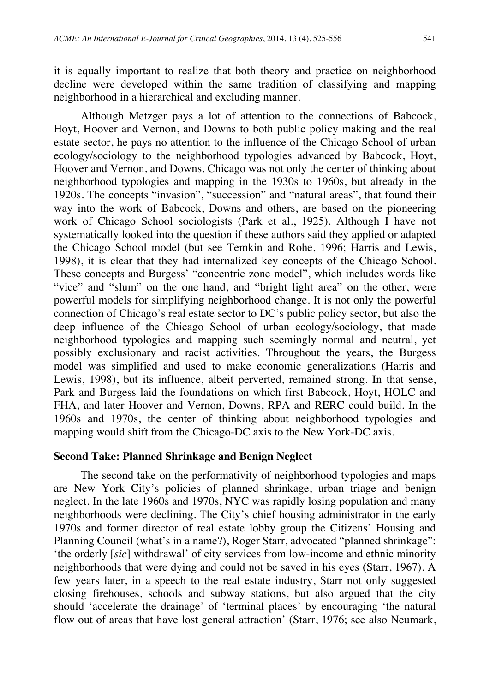it is equally important to realize that both theory and practice on neighborhood decline were developed within the same tradition of classifying and mapping neighborhood in a hierarchical and excluding manner.

Although Metzger pays a lot of attention to the connections of Babcock, Hoyt, Hoover and Vernon, and Downs to both public policy making and the real estate sector, he pays no attention to the influence of the Chicago School of urban ecology/sociology to the neighborhood typologies advanced by Babcock, Hoyt, Hoover and Vernon, and Downs. Chicago was not only the center of thinking about neighborhood typologies and mapping in the 1930s to 1960s, but already in the 1920s. The concepts "invasion", "succession" and "natural areas", that found their way into the work of Babcock, Downs and others, are based on the pioneering work of Chicago School sociologists (Park et al., 1925). Although I have not systematically looked into the question if these authors said they applied or adapted the Chicago School model (but see Temkin and Rohe, 1996; Harris and Lewis, 1998), it is clear that they had internalized key concepts of the Chicago School. These concepts and Burgess' "concentric zone model", which includes words like "vice" and "slum" on the one hand, and "bright light area" on the other, were powerful models for simplifying neighborhood change. It is not only the powerful connection of Chicago's real estate sector to DC's public policy sector, but also the deep influence of the Chicago School of urban ecology/sociology, that made neighborhood typologies and mapping such seemingly normal and neutral, yet possibly exclusionary and racist activities. Throughout the years, the Burgess model was simplified and used to make economic generalizations (Harris and Lewis, 1998), but its influence, albeit perverted, remained strong. In that sense, Park and Burgess laid the foundations on which first Babcock, Hoyt, HOLC and FHA, and later Hoover and Vernon, Downs, RPA and RERC could build. In the 1960s and 1970s, the center of thinking about neighborhood typologies and mapping would shift from the Chicago-DC axis to the New York-DC axis.

## **Second Take: Planned Shrinkage and Benign Neglect**

The second take on the performativity of neighborhood typologies and maps are New York City's policies of planned shrinkage, urban triage and benign neglect. In the late 1960s and 1970s, NYC was rapidly losing population and many neighborhoods were declining. The City's chief housing administrator in the early 1970s and former director of real estate lobby group the Citizens' Housing and Planning Council (what's in a name?), Roger Starr, advocated "planned shrinkage": 'the orderly [*sic*] withdrawal' of city services from low-income and ethnic minority neighborhoods that were dying and could not be saved in his eyes (Starr, 1967). A few years later, in a speech to the real estate industry, Starr not only suggested closing firehouses, schools and subway stations, but also argued that the city should 'accelerate the drainage' of 'terminal places' by encouraging 'the natural flow out of areas that have lost general attraction' (Starr, 1976; see also Neumark,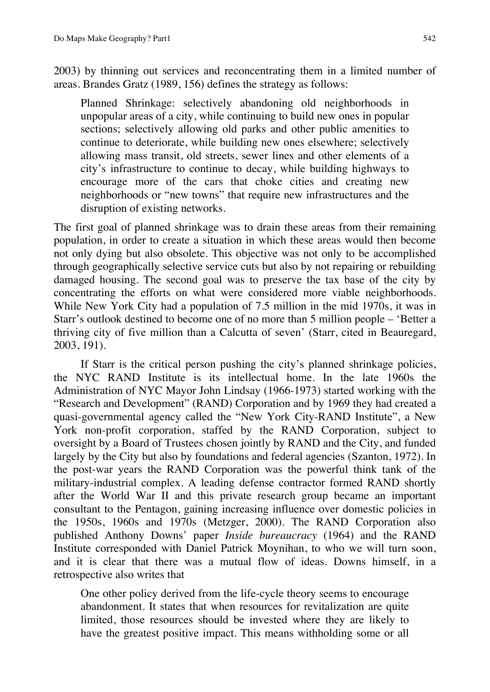2003) by thinning out services and reconcentrating them in a limited number of areas. Brandes Gratz (1989, 156) defines the strategy as follows:

Planned Shrinkage: selectively abandoning old neighborhoods in unpopular areas of a city, while continuing to build new ones in popular sections; selectively allowing old parks and other public amenities to continue to deteriorate, while building new ones elsewhere; selectively allowing mass transit, old streets, sewer lines and other elements of a city's infrastructure to continue to decay, while building highways to encourage more of the cars that choke cities and creating new neighborhoods or "new towns" that require new infrastructures and the disruption of existing networks.

The first goal of planned shrinkage was to drain these areas from their remaining population, in order to create a situation in which these areas would then become not only dying but also obsolete. This objective was not only to be accomplished through geographically selective service cuts but also by not repairing or rebuilding damaged housing. The second goal was to preserve the tax base of the city by concentrating the efforts on what were considered more viable neighborhoods. While New York City had a population of 7.5 million in the mid 1970s, it was in Starr's outlook destined to become one of no more than 5 million people – 'Better a thriving city of five million than a Calcutta of seven' (Starr, cited in Beauregard, 2003, 191).

If Starr is the critical person pushing the city's planned shrinkage policies, the NYC RAND Institute is its intellectual home. In the late 1960s the Administration of NYC Mayor John Lindsay (1966-1973) started working with the "Research and Development" (RAND) Corporation and by 1969 they had created a quasi-governmental agency called the "New York City-RAND Institute", a New York non-profit corporation, staffed by the RAND Corporation, subject to oversight by a Board of Trustees chosen jointly by RAND and the City, and funded largely by the City but also by foundations and federal agencies (Szanton, 1972). In the post-war years the RAND Corporation was the powerful think tank of the military-industrial complex. A leading defense contractor formed RAND shortly after the World War II and this private research group became an important consultant to the Pentagon, gaining increasing influence over domestic policies in the 1950s, 1960s and 1970s (Metzger, 2000). The RAND Corporation also published Anthony Downs' paper *Inside bureaucracy* (1964) and the RAND Institute corresponded with Daniel Patrick Moynihan, to who we will turn soon, and it is clear that there was a mutual flow of ideas. Downs himself, in a retrospective also writes that

One other policy derived from the life-cycle theory seems to encourage abandonment. It states that when resources for revitalization are quite limited, those resources should be invested where they are likely to have the greatest positive impact. This means withholding some or all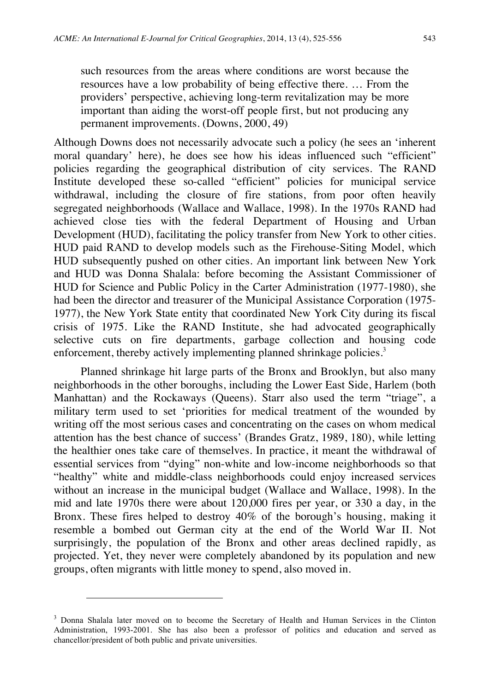such resources from the areas where conditions are worst because the resources have a low probability of being effective there. … From the providers' perspective, achieving long-term revitalization may be more important than aiding the worst-off people first, but not producing any permanent improvements. (Downs, 2000, 49)

Although Downs does not necessarily advocate such a policy (he sees an 'inherent moral quandary' here), he does see how his ideas influenced such "efficient" policies regarding the geographical distribution of city services. The RAND Institute developed these so-called "efficient" policies for municipal service withdrawal, including the closure of fire stations, from poor often heavily segregated neighborhoods (Wallace and Wallace, 1998). In the 1970s RAND had achieved close ties with the federal Department of Housing and Urban Development (HUD), facilitating the policy transfer from New York to other cities. HUD paid RAND to develop models such as the Firehouse-Siting Model, which HUD subsequently pushed on other cities. An important link between New York and HUD was Donna Shalala: before becoming the Assistant Commissioner of HUD for Science and Public Policy in the Carter Administration (1977-1980), she had been the director and treasurer of the Municipal Assistance Corporation (1975- 1977), the New York State entity that coordinated New York City during its fiscal crisis of 1975. Like the RAND Institute, she had advocated geographically selective cuts on fire departments, garbage collection and housing code enforcement, thereby actively implementing planned shrinkage policies.<sup>3</sup>

Planned shrinkage hit large parts of the Bronx and Brooklyn, but also many neighborhoods in the other boroughs, including the Lower East Side, Harlem (both Manhattan) and the Rockaways (Queens). Starr also used the term "triage", a military term used to set 'priorities for medical treatment of the wounded by writing off the most serious cases and concentrating on the cases on whom medical attention has the best chance of success' (Brandes Gratz, 1989, 180), while letting the healthier ones take care of themselves. In practice, it meant the withdrawal of essential services from "dying" non-white and low-income neighborhoods so that "healthy" white and middle-class neighborhoods could enjoy increased services without an increase in the municipal budget (Wallace and Wallace, 1998). In the mid and late 1970s there were about 120,000 fires per year, or 330 a day, in the Bronx. These fires helped to destroy 40% of the borough's housing, making it resemble a bombed out German city at the end of the World War II. Not surprisingly, the population of the Bronx and other areas declined rapidly, as projected. Yet, they never were completely abandoned by its population and new groups, often migrants with little money to spend, also moved in.

-

<sup>&</sup>lt;sup>3</sup> Donna Shalala later moved on to become the Secretary of Health and Human Services in the Clinton Administration, 1993-2001. She has also been a professor of politics and education and served as chancellor/president of both public and private universities.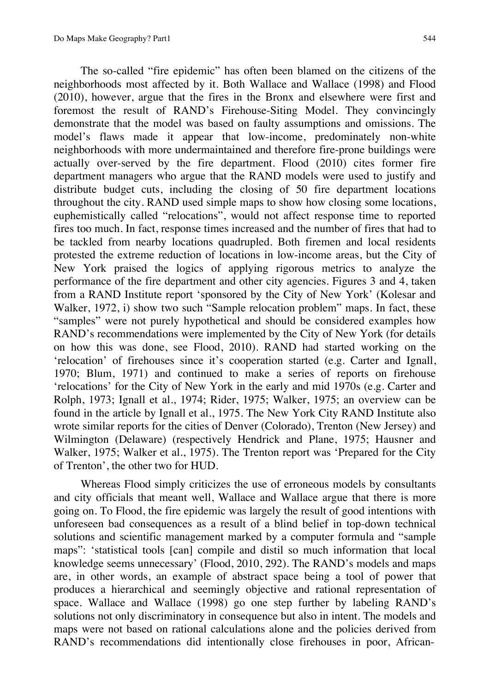The so-called "fire epidemic" has often been blamed on the citizens of the neighborhoods most affected by it. Both Wallace and Wallace (1998) and Flood (2010), however, argue that the fires in the Bronx and elsewhere were first and foremost the result of RAND's Firehouse-Siting Model. They convincingly demonstrate that the model was based on faulty assumptions and omissions. The model's flaws made it appear that low-income, predominately non-white neighborhoods with more undermaintained and therefore fire-prone buildings were actually over-served by the fire department. Flood (2010) cites former fire department managers who argue that the RAND models were used to justify and distribute budget cuts, including the closing of 50 fire department locations throughout the city. RAND used simple maps to show how closing some locations, euphemistically called "relocations", would not affect response time to reported fires too much. In fact, response times increased and the number of fires that had to be tackled from nearby locations quadrupled. Both firemen and local residents protested the extreme reduction of locations in low-income areas, but the City of New York praised the logics of applying rigorous metrics to analyze the performance of the fire department and other city agencies. Figures 3 and 4, taken from a RAND Institute report 'sponsored by the City of New York' (Kolesar and Walker, 1972, i) show two such "Sample relocation problem" maps. In fact, these "samples" were not purely hypothetical and should be considered examples how RAND's recommendations were implemented by the City of New York (for details on how this was done, see Flood, 2010). RAND had started working on the 'relocation' of firehouses since it's cooperation started (e.g. Carter and Ignall, 1970; Blum, 1971) and continued to make a series of reports on firehouse 'relocations' for the City of New York in the early and mid 1970s (e.g. Carter and Rolph, 1973; Ignall et al., 1974; Rider, 1975; Walker, 1975; an overview can be found in the article by Ignall et al., 1975. The New York City RAND Institute also wrote similar reports for the cities of Denver (Colorado), Trenton (New Jersey) and Wilmington (Delaware) (respectively Hendrick and Plane, 1975; Hausner and Walker, 1975; Walker et al., 1975). The Trenton report was 'Prepared for the City of Trenton', the other two for HUD.

Whereas Flood simply criticizes the use of erroneous models by consultants and city officials that meant well, Wallace and Wallace argue that there is more going on. To Flood, the fire epidemic was largely the result of good intentions with unforeseen bad consequences as a result of a blind belief in top-down technical solutions and scientific management marked by a computer formula and "sample maps": 'statistical tools [can] compile and distil so much information that local knowledge seems unnecessary' (Flood, 2010, 292). The RAND's models and maps are, in other words, an example of abstract space being a tool of power that produces a hierarchical and seemingly objective and rational representation of space. Wallace and Wallace (1998) go one step further by labeling RAND's solutions not only discriminatory in consequence but also in intent. The models and maps were not based on rational calculations alone and the policies derived from RAND's recommendations did intentionally close firehouses in poor, African-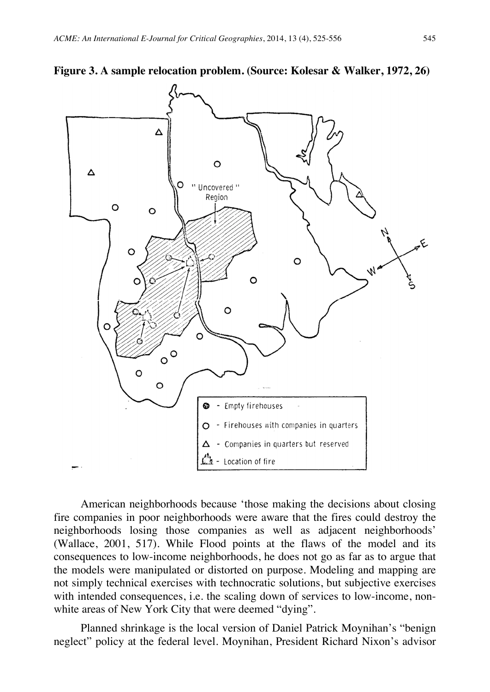



American neighborhoods because 'those making the decisions about closing fire companies in poor neighborhoods were aware that the fires could destroy the neighborhoods losing those companies as well as adjacent neighborhoods' (Wallace, 2001, 517). While Flood points at the flaws of the model and its consequences to low-income neighborhoods, he does not go as far as to argue that the models were manipulated or distorted on purpose. Modeling and mapping are not simply technical exercises with technocratic solutions, but subjective exercises with intended consequences, i.e. the scaling down of services to low-income, nonwhite areas of New York City that were deemed "dying".

Planned shrinkage is the local version of Daniel Patrick Moynihan's "benign neglect" policy at the federal level. Moynihan, President Richard Nixon's advisor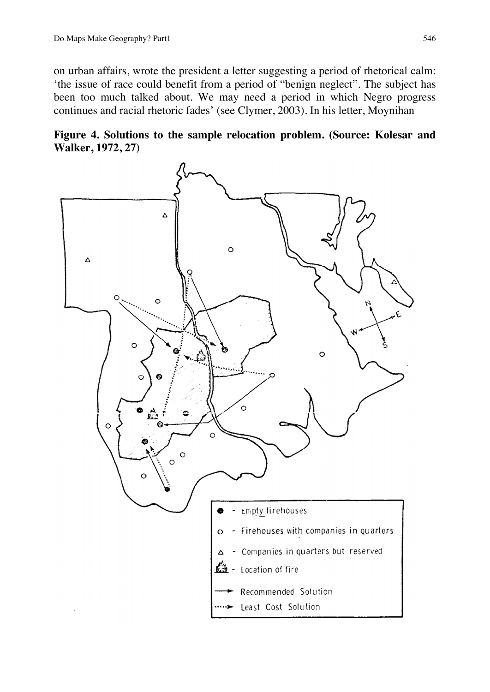on urban affairs, wrote the president a letter suggesting a period of rhetorical calm: 'the issue of race could benefit from a period of "benign neglect". The subject has been too much talked about. We may need a period in which Negro progress continues and racial rhetoric fades' (see Clymer, 2003). In his letter, Moynihan



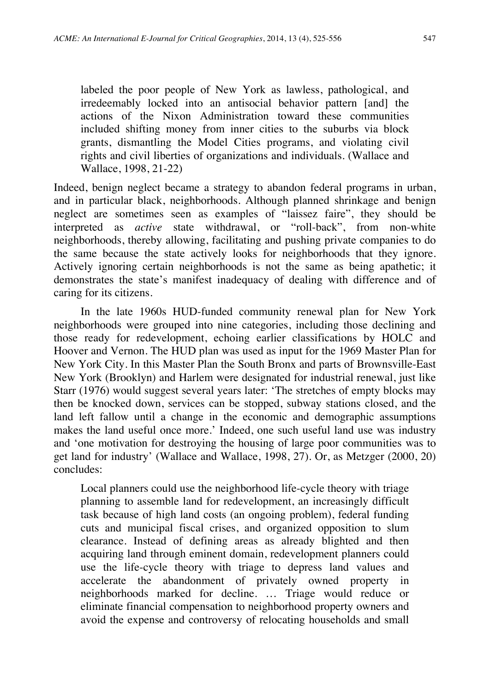labeled the poor people of New York as lawless, pathological, and irredeemably locked into an antisocial behavior pattern [and] the actions of the Nixon Administration toward these communities included shifting money from inner cities to the suburbs via block grants, dismantling the Model Cities programs, and violating civil rights and civil liberties of organizations and individuals. (Wallace and Wallace, 1998, 21-22)

Indeed, benign neglect became a strategy to abandon federal programs in urban, and in particular black, neighborhoods. Although planned shrinkage and benign neglect are sometimes seen as examples of "laissez faire", they should be interpreted as *active* state withdrawal, or "roll-back", from non-white neighborhoods, thereby allowing, facilitating and pushing private companies to do the same because the state actively looks for neighborhoods that they ignore. Actively ignoring certain neighborhoods is not the same as being apathetic; it demonstrates the state's manifest inadequacy of dealing with difference and of caring for its citizens.

In the late 1960s HUD-funded community renewal plan for New York neighborhoods were grouped into nine categories, including those declining and those ready for redevelopment, echoing earlier classifications by HOLC and Hoover and Vernon. The HUD plan was used as input for the 1969 Master Plan for New York City. In this Master Plan the South Bronx and parts of Brownsville-East New York (Brooklyn) and Harlem were designated for industrial renewal, just like Starr (1976) would suggest several years later: 'The stretches of empty blocks may then be knocked down, services can be stopped, subway stations closed, and the land left fallow until a change in the economic and demographic assumptions makes the land useful once more.' Indeed, one such useful land use was industry and 'one motivation for destroying the housing of large poor communities was to get land for industry' (Wallace and Wallace, 1998, 27). Or, as Metzger (2000, 20) concludes:

Local planners could use the neighborhood life-cycle theory with triage planning to assemble land for redevelopment, an increasingly difficult task because of high land costs (an ongoing problem), federal funding cuts and municipal fiscal crises, and organized opposition to slum clearance. Instead of defining areas as already blighted and then acquiring land through eminent domain, redevelopment planners could use the life-cycle theory with triage to depress land values and accelerate the abandonment of privately owned property in neighborhoods marked for decline. … Triage would reduce or eliminate financial compensation to neighborhood property owners and avoid the expense and controversy of relocating households and small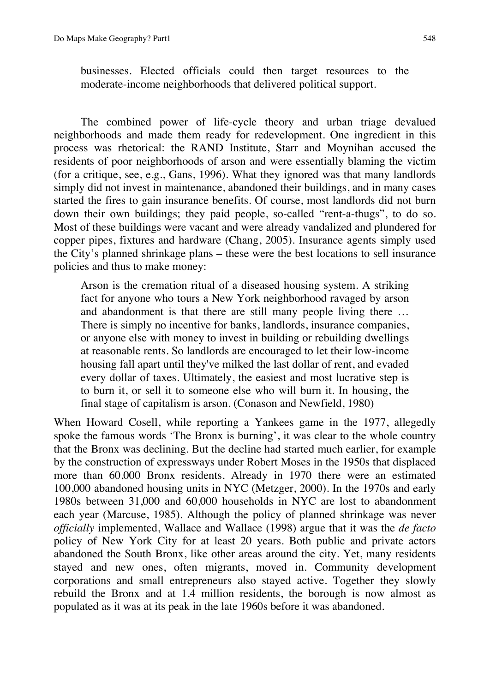businesses. Elected officials could then target resources to the moderate-income neighborhoods that delivered political support.

The combined power of life-cycle theory and urban triage devalued neighborhoods and made them ready for redevelopment. One ingredient in this process was rhetorical: the RAND Institute, Starr and Moynihan accused the residents of poor neighborhoods of arson and were essentially blaming the victim (for a critique, see, e.g., Gans, 1996). What they ignored was that many landlords simply did not invest in maintenance, abandoned their buildings, and in many cases started the fires to gain insurance benefits. Of course, most landlords did not burn down their own buildings; they paid people, so-called "rent-a-thugs", to do so. Most of these buildings were vacant and were already vandalized and plundered for copper pipes, fixtures and hardware (Chang, 2005). Insurance agents simply used the City's planned shrinkage plans – these were the best locations to sell insurance policies and thus to make money:

Arson is the cremation ritual of a diseased housing system. A striking fact for anyone who tours a New York neighborhood ravaged by arson and abandonment is that there are still many people living there … There is simply no incentive for banks, landlords, insurance companies, or anyone else with money to invest in building or rebuilding dwellings at reasonable rents. So landlords are encouraged to let their low-income housing fall apart until they've milked the last dollar of rent, and evaded every dollar of taxes. Ultimately, the easiest and most lucrative step is to burn it, or sell it to someone else who will burn it. In housing, the final stage of capitalism is arson. (Conason and Newfield, 1980)

When Howard Cosell, while reporting a Yankees game in the 1977, allegedly spoke the famous words 'The Bronx is burning', it was clear to the whole country that the Bronx was declining. But the decline had started much earlier, for example by the construction of expressways under Robert Moses in the 1950s that displaced more than 60,000 Bronx residents. Already in 1970 there were an estimated 100,000 abandoned housing units in NYC (Metzger, 2000). In the 1970s and early 1980s between 31,000 and 60,000 households in NYC are lost to abandonment each year (Marcuse, 1985). Although the policy of planned shrinkage was never *officially* implemented, Wallace and Wallace (1998) argue that it was the *de facto* policy of New York City for at least 20 years. Both public and private actors abandoned the South Bronx, like other areas around the city. Yet, many residents stayed and new ones, often migrants, moved in. Community development corporations and small entrepreneurs also stayed active. Together they slowly rebuild the Bronx and at 1.4 million residents, the borough is now almost as populated as it was at its peak in the late 1960s before it was abandoned.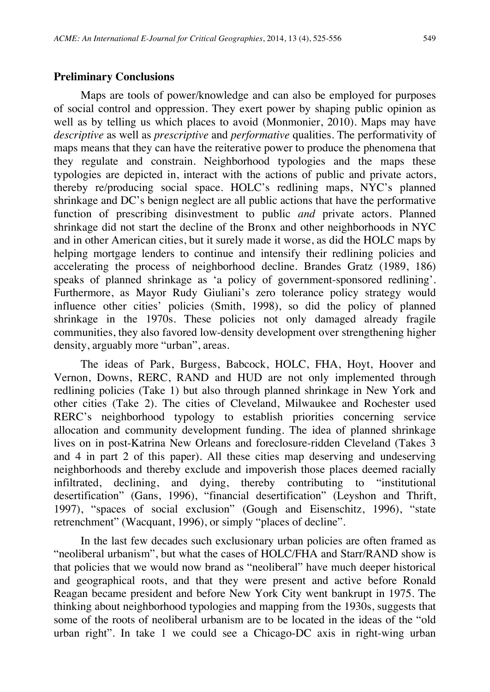#### **Preliminary Conclusions**

Maps are tools of power/knowledge and can also be employed for purposes of social control and oppression. They exert power by shaping public opinion as well as by telling us which places to avoid (Monmonier, 2010). Maps may have *descriptive* as well as *prescriptive* and *performative* qualities. The performativity of maps means that they can have the reiterative power to produce the phenomena that they regulate and constrain. Neighborhood typologies and the maps these typologies are depicted in, interact with the actions of public and private actors, thereby re/producing social space. HOLC's redlining maps, NYC's planned shrinkage and DC's benign neglect are all public actions that have the performative function of prescribing disinvestment to public *and* private actors. Planned shrinkage did not start the decline of the Bronx and other neighborhoods in NYC and in other American cities, but it surely made it worse, as did the HOLC maps by helping mortgage lenders to continue and intensify their redlining policies and accelerating the process of neighborhood decline. Brandes Gratz (1989, 186) speaks of planned shrinkage as 'a policy of government-sponsored redlining'. Furthermore, as Mayor Rudy Giuliani's zero tolerance policy strategy would influence other cities' policies (Smith, 1998), so did the policy of planned shrinkage in the 1970s. These policies not only damaged already fragile communities, they also favored low-density development over strengthening higher density, arguably more "urban", areas.

The ideas of Park, Burgess, Babcock, HOLC, FHA, Hoyt, Hoover and Vernon, Downs, RERC, RAND and HUD are not only implemented through redlining policies (Take 1) but also through planned shrinkage in New York and other cities (Take 2). The cities of Cleveland, Milwaukee and Rochester used RERC's neighborhood typology to establish priorities concerning service allocation and community development funding. The idea of planned shrinkage lives on in post-Katrina New Orleans and foreclosure-ridden Cleveland (Takes 3 and 4 in part 2 of this paper). All these cities map deserving and undeserving neighborhoods and thereby exclude and impoverish those places deemed racially infiltrated, declining, and dying, thereby contributing to "institutional desertification" (Gans, 1996), "financial desertification" (Leyshon and Thrift, 1997), "spaces of social exclusion" (Gough and Eisenschitz, 1996), "state retrenchment" (Wacquant, 1996), or simply "places of decline".

In the last few decades such exclusionary urban policies are often framed as "neoliberal urbanism", but what the cases of HOLC/FHA and Starr/RAND show is that policies that we would now brand as "neoliberal" have much deeper historical and geographical roots, and that they were present and active before Ronald Reagan became president and before New York City went bankrupt in 1975. The thinking about neighborhood typologies and mapping from the 1930s, suggests that some of the roots of neoliberal urbanism are to be located in the ideas of the "old urban right". In take 1 we could see a Chicago-DC axis in right-wing urban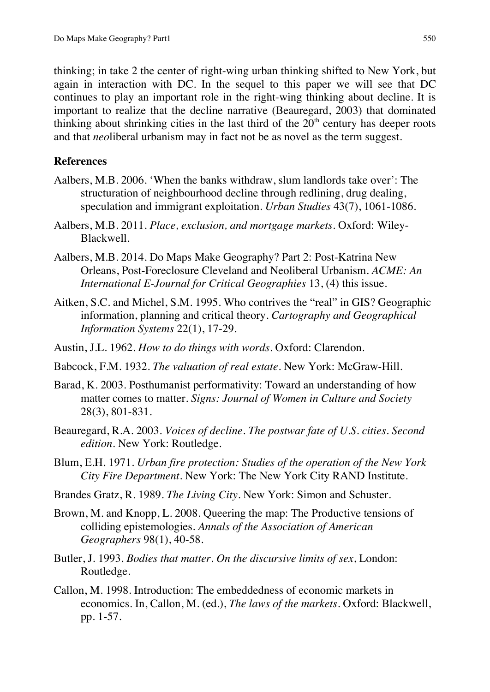thinking; in take 2 the center of right-wing urban thinking shifted to New York, but again in interaction with DC. In the sequel to this paper we will see that DC continues to play an important role in the right-wing thinking about decline. It is important to realize that the decline narrative (Beauregard, 2003) that dominated thinking about shrinking cities in the last third of the  $20<sup>th</sup>$  century has deeper roots and that *neo*liberal urbanism may in fact not be as novel as the term suggest.

## **References**

- Aalbers, M.B. 2006. 'When the banks withdraw, slum landlords take over': The structuration of neighbourhood decline through redlining, drug dealing, speculation and immigrant exploitation. *Urban Studies* 43(7), 1061-1086.
- Aalbers, M.B. 2011. *Place, exclusion, and mortgage markets*. Oxford: Wiley-Blackwell.
- Aalbers, M.B. 2014. Do Maps Make Geography? Part 2: Post-Katrina New Orleans, Post-Foreclosure Cleveland and Neoliberal Urbanism. *ACME: An International E-Journal for Critical Geographies* 13, (4) this issue.
- Aitken, S.C. and Michel, S.M. 1995. Who contrives the "real" in GIS? Geographic information, planning and critical theory. *Cartography and Geographical Information Systems* 22(1), 17-29.
- Austin, J.L. 1962. *How to do things with words*. Oxford: Clarendon.
- Babcock, F.M. 1932. *The valuation of real estate*. New York: McGraw-Hill.
- Barad, K. 2003. Posthumanist performativity: Toward an understanding of how matter comes to matter. *Signs: Journal of Women in Culture and Society* 28(3), 801-831.
- Beauregard, R.A. 2003. *Voices of decline. The postwar fate of U.S. cities. Second edition*. New York: Routledge.
- Blum, E.H. 1971. *Urban fire protection: Studies of the operation of the New York City Fire Department.* New York: The New York City RAND Institute.
- Brandes Gratz, R. 1989. *The Living City*. New York: Simon and Schuster.
- Brown, M. and Knopp, L. 2008. Queering the map: The Productive tensions of colliding epistemologies. *Annals of the Association of American Geographers* 98(1), 40-58.
- Butler, J. 1993. *Bodies that matter. On the discursive limits of sex*, London: Routledge.
- Callon, M. 1998. Introduction: The embeddedness of economic markets in economics. In, Callon, M. (ed.), *The laws of the markets*. Oxford: Blackwell, pp. 1-57.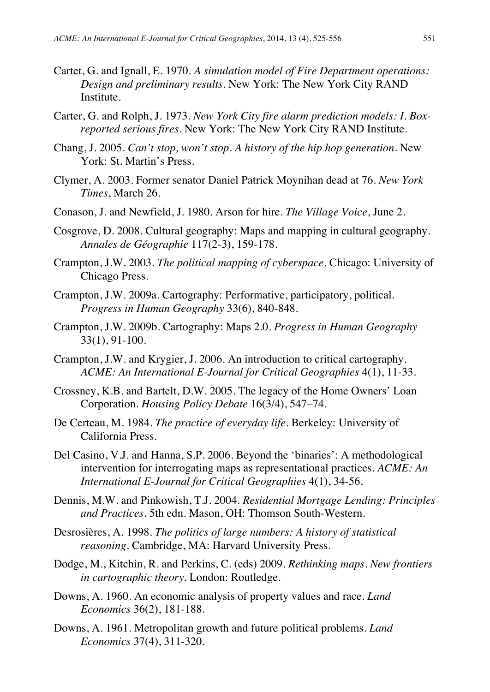- Cartet, G. and Ignall, E. 1970. *A simulation model of Fire Department operations: Design and preliminary results.* New York: The New York City RAND Institute.
- Carter, G. and Rolph, J. 1973. *New York City fire alarm prediction models: I. Boxreported serious fires.* New York: The New York City RAND Institute.
- Chang, J. 2005. *Can't stop, won't stop. A history of the hip hop generation*. New York: St. Martin's Press.
- Clymer, A. 2003. Former senator Daniel Patrick Moynihan dead at 76. *New York Times*, March 26.
- Conason, J. and Newfield, J. 1980. Arson for hire. *The Village Voice*, June 2.
- Cosgrove, D. 2008. Cultural geography: Maps and mapping in cultural geography. *Annales de Géographie* 117(2-3), 159-178.
- Crampton, J.W. 2003. *The political mapping of cyberspace*. Chicago: University of Chicago Press.
- Crampton, J.W. 2009a. Cartography: Performative, participatory, political. *Progress in Human Geography* 33(6), 840-848.
- Crampton, J.W. 2009b. Cartography: Maps 2.0. *Progress in Human Geography* 33(1), 91-100.
- Crampton, J.W. and Krygier, J. 2006. An introduction to critical cartography. *ACME: An International E-Journal for Critical Geographies* 4(1), 11-33.
- Crossney, K.B. and Bartelt, D.W. 2005. The legacy of the Home Owners' Loan Corporation. *Housing Policy Debate* 16(3/4), 547–74.
- De Certeau, M. 1984. *The practice of everyday life*. Berkeley: University of California Press.
- Del Casino, V.J. and Hanna, S.P. 2006. Beyond the 'binaries': A methodological intervention for interrogating maps as representational practices. *ACME: An International E-Journal for Critical Geographies* 4(1), 34-56.
- Dennis, M.W. and Pinkowish, T.J. 2004. *Residential Mortgage Lending: Principles and Practices.* 5th edn. Mason, OH: Thomson South-Western.
- Desrosières, A. 1998. *The politics of large numbers: A history of statistical reasoning*. Cambridge, MA: Harvard University Press.
- Dodge, M., Kitchin, R. and Perkins, C. (eds) 2009. *Rethinking maps. New frontiers in cartographic theory*. London: Routledge.
- Downs, A. 1960. An economic analysis of property values and race. *Land Economics* 36(2), 181-188.
- Downs, A. 1961. Metropolitan growth and future political problems. *Land Economics* 37(4), 311-320.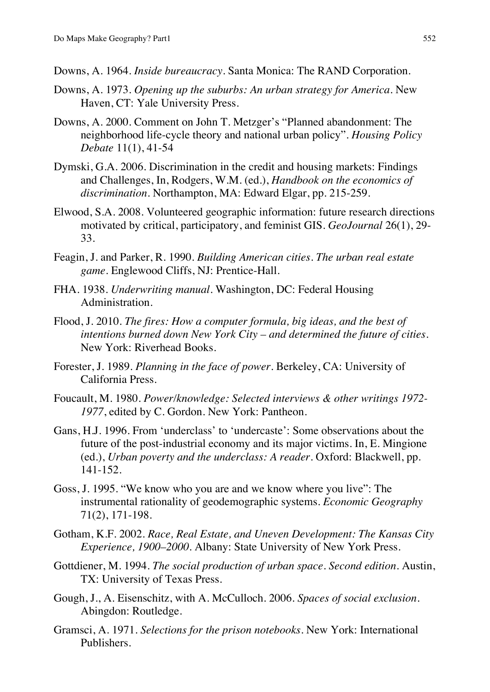- Downs, A. 1964. *Inside bureaucracy*. Santa Monica: The RAND Corporation.
- Downs, A. 1973. *Opening up the suburbs: An urban strategy for America.* New Haven, CT: Yale University Press.
- Downs, A. 2000. Comment on John T. Metzger's "Planned abandonment: The neighborhood life-cycle theory and national urban policy". *Housing Policy Debate* 11(1), 41-54
- Dymski, G.A. 2006. Discrimination in the credit and housing markets: Findings and Challenges, In, Rodgers, W.M. (ed.), *Handbook on the economics of discrimination*. Northampton, MA: Edward Elgar, pp. 215-259.
- Elwood, S.A. 2008. Volunteered geographic information: future research directions motivated by critical, participatory, and feminist GIS. *GeoJournal* 26(1), 29- 33.
- Feagin, J. and Parker, R. 1990. *Building American cities. The urban real estate game.* Englewood Cliffs, NJ: Prentice-Hall.
- FHA. 1938. *Underwriting manual*. Washington, DC: Federal Housing Administration.
- Flood, J. 2010. *The fires: How a computer formula, big ideas, and the best of intentions burned down New York City – and determined the future of cities*. New York: Riverhead Books.
- Forester, J. 1989. *Planning in the face of power*. Berkeley, CA: University of California Press.
- Foucault, M. 1980. *Power/knowledge: Selected interviews & other writings 1972- 1977*, edited by C. Gordon*.* New York: Pantheon.
- Gans, H.J. 1996. From 'underclass' to 'undercaste': Some observations about the future of the post-industrial economy and its major victims. In, E. Mingione (ed.), *Urban poverty and the underclass: A reader*. Oxford: Blackwell, pp. 141-152.
- Goss, J. 1995. "We know who you are and we know where you live": The instrumental rationality of geodemographic systems. *Economic Geography* 71(2), 171-198.
- Gotham, K.F. 2002. *Race, Real Estate, and Uneven Development: The Kansas City Experience, 1900–2000.* Albany: State University of New York Press.
- Gottdiener, M. 1994. *The social production of urban space*. *Second edition*. Austin, TX: University of Texas Press.
- Gough, J., A. Eisenschitz, with A. McCulloch. 2006. *Spaces of social exclusion*. Abingdon: Routledge.
- Gramsci, A. 1971. *Selections for the prison notebooks*. New York: International Publishers.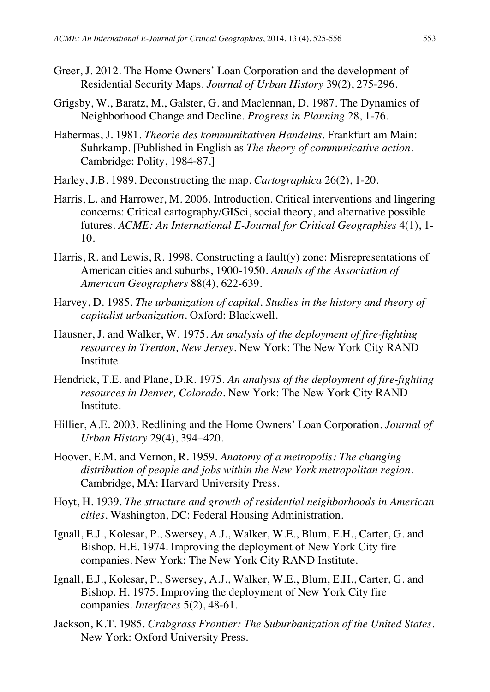- Greer, J. 2012. The Home Owners' Loan Corporation and the development of Residential Security Maps. *Journal of Urban History* 39(2), 275-296.
- Grigsby, W., Baratz, M., Galster, G. and Maclennan, D. 1987. The Dynamics of Neighborhood Change and Decline. *Progress in Planning* 28, 1-76.
- Habermas, J. 1981. *Theorie des kommunikativen Handelns*. Frankfurt am Main: Suhrkamp. [Published in English as *The theory of communicative action*. Cambridge: Polity, 1984-87.]
- Harley, J.B. 1989. Deconstructing the map. *Cartographica* 26(2), 1-20.
- Harris, L. and Harrower, M. 2006. Introduction. Critical interventions and lingering concerns: Critical cartography/GISci, social theory, and alternative possible futures. *ACME: An International E-Journal for Critical Geographies* 4(1), 1- 10.
- Harris, R. and Lewis, R. 1998. Constructing a fault(y) zone: Misrepresentations of American cities and suburbs, 1900-1950. *Annals of the Association of American Geographers* 88(4), 622-639.
- Harvey, D. 1985. *The urbanization of capital. Studies in the history and theory of capitalist urbanization*. Oxford: Blackwell.
- Hausner, J. and Walker, W. 1975. *An analysis of the deployment of fire-fighting resources in Trenton, New Jersey.* New York: The New York City RAND Institute.
- Hendrick, T.E. and Plane, D.R. 1975. *An analysis of the deployment of fire-fighting resources in Denver, Colorado.* New York: The New York City RAND Institute.
- Hillier, A.E. 2003. Redlining and the Home Owners' Loan Corporation. *Journal of Urban History* 29(4), 394–420.
- Hoover, E.M. and Vernon, R. 1959. *Anatomy of a metropolis: The changing distribution of people and jobs within the New York metropolitan region.*  Cambridge, MA: Harvard University Press.
- Hoyt, H. 1939. *The structure and growth of residential neighborhoods in American cities*. Washington, DC: Federal Housing Administration.
- Ignall, E.J., Kolesar, P., Swersey, A.J., Walker, W.E., Blum, E.H., Carter, G. and Bishop. H.E. 1974. Improving the deployment of New York City fire companies. New York: The New York City RAND Institute.
- Ignall, E.J., Kolesar, P., Swersey, A.J., Walker, W.E., Blum, E.H., Carter, G. and Bishop. H. 1975. Improving the deployment of New York City fire companies. *Interfaces* 5(2), 48-61.
- Jackson, K.T. 1985. *Crabgrass Frontier: The Suburbanization of the United States*. New York: Oxford University Press.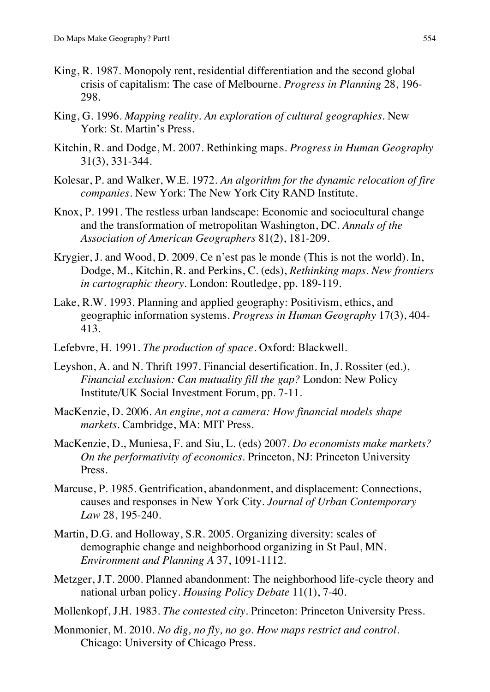- King, R. 1987. Monopoly rent, residential differentiation and the second global crisis of capitalism: The case of Melbourne. *Progress in Planning* 28, 196- 298.
- King, G. 1996. *Mapping reality. An exploration of cultural geographies*. New York: St. Martin's Press.
- Kitchin, R. and Dodge, M. 2007. Rethinking maps. *Progress in Human Geography* 31(3), 331-344.
- Kolesar, P. and Walker, W.E. 1972. *An algorithm for the dynamic relocation of fire companies.* New York: The New York City RAND Institute.
- Knox, P. 1991. The restless urban landscape: Economic and sociocultural change and the transformation of metropolitan Washington, DC. *Annals of the Association of American Geographers* 81(2), 181-209.
- Krygier, J. and Wood, D. 2009. Ce n'est pas le monde (This is not the world). In, Dodge, M., Kitchin, R. and Perkins, C. (eds), *Rethinking maps. New frontiers in cartographic theory*. London: Routledge, pp. 189-119.
- Lake, R.W. 1993. Planning and applied geography: Positivism, ethics, and geographic information systems. *Progress in Human Geography* 17(3), 404- 413.
- Lefebvre, H. 1991. *The production of space*. Oxford: Blackwell.
- Leyshon, A. and N. Thrift 1997. Financial desertification. In, J. Rossiter (ed.), *Financial exclusion: Can mutuality fill the gap?* London: New Policy Institute/UK Social Investment Forum, pp. 7-11.
- MacKenzie, D. 2006. *An engine, not a camera: How financial models shape markets*. Cambridge, MA: MIT Press.
- MacKenzie, D., Muniesa, F. and Siu, L. (eds) 2007. *Do economists make markets? On the performativity of economics*. Princeton, NJ: Princeton University Press.
- Marcuse, P. 1985. Gentrification, abandonment, and displacement: Connections, causes and responses in New York City. *Journal of Urban Contemporary Law* 28, 195-240.
- Martin, D.G. and Holloway, S.R. 2005. Organizing diversity: scales of demographic change and neighborhood organizing in St Paul, MN. *Environment and Planning A* 37, 1091-1112.
- Metzger, J.T. 2000. Planned abandonment: The neighborhood life-cycle theory and national urban policy. *Housing Policy Debate* 11(1), 7-40.
- Mollenkopf, J.H. 1983. *The contested city*. Princeton: Princeton University Press.
- Monmonier, M. 2010. *No dig, no fly, no go. How maps restrict and control*. Chicago: University of Chicago Press.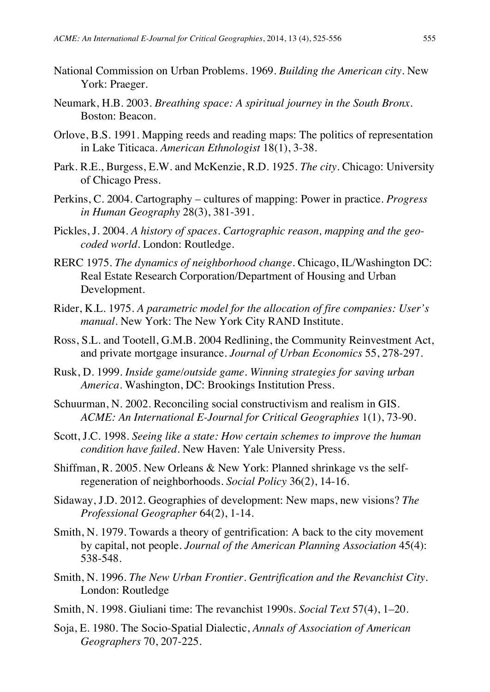- National Commission on Urban Problems. 1969. *Building the American city*. New York: Praeger.
- Neumark, H.B. 2003. *Breathing space: A spiritual journey in the South Bronx*. Boston: Beacon.
- Orlove, B.S. 1991. Mapping reeds and reading maps: The politics of representation in Lake Titicaca. *American Ethnologist* 18(1), 3-38.
- Park. R.E., Burgess, E.W. and McKenzie, R.D. 1925. *The city*. Chicago: University of Chicago Press.
- Perkins, C. 2004. Cartography cultures of mapping: Power in practice. *Progress in Human Geography* 28(3), 381-391.
- Pickles, J. 2004. *A history of spaces. Cartographic reason, mapping and the geocoded world.* London: Routledge.
- RERC 1975. *The dynamics of neighborhood change.* Chicago, IL/Washington DC: Real Estate Research Corporation/Department of Housing and Urban Development.
- Rider, K.L. 1975. *A parametric model for the allocation of fire companies: User's manual.* New York: The New York City RAND Institute.
- Ross, S.L. and Tootell, G.M.B. 2004 Redlining, the Community Reinvestment Act, and private mortgage insurance. *Journal of Urban Economics* 55, 278-297.
- Rusk, D. 1999. *Inside game/outside game. Winning strategies for saving urban America*. Washington, DC: Brookings Institution Press.
- Schuurman, N. 2002. Reconciling social constructivism and realism in GIS. *ACME: An International E-Journal for Critical Geographies* 1(1), 73-90.
- Scott, J.C. 1998. *Seeing like a state: How certain schemes to improve the human condition have failed*. New Haven: Yale University Press.
- Shiffman, R. 2005. New Orleans & New York: Planned shrinkage vs the selfregeneration of neighborhoods. *Social Policy* 36(2), 14-16.
- Sidaway, J.D. 2012. Geographies of development: New maps, new visions? *The Professional Geographer* 64(2), 1-14.
- Smith, N. 1979. Towards a theory of gentrification: A back to the city movement by capital, not people. *Journal of the American Planning Association* 45(4): 538-548.
- Smith, N. 1996. *The New Urban Frontier. Gentrification and the Revanchist City*. London: Routledge
- Smith, N. 1998. Giuliani time: The revanchist 1990s. *Social Text* 57(4), 1–20.
- Soja, E. 1980. The Socio-Spatial Dialectic, *Annals of Association of American Geographers* 70, 207-225.